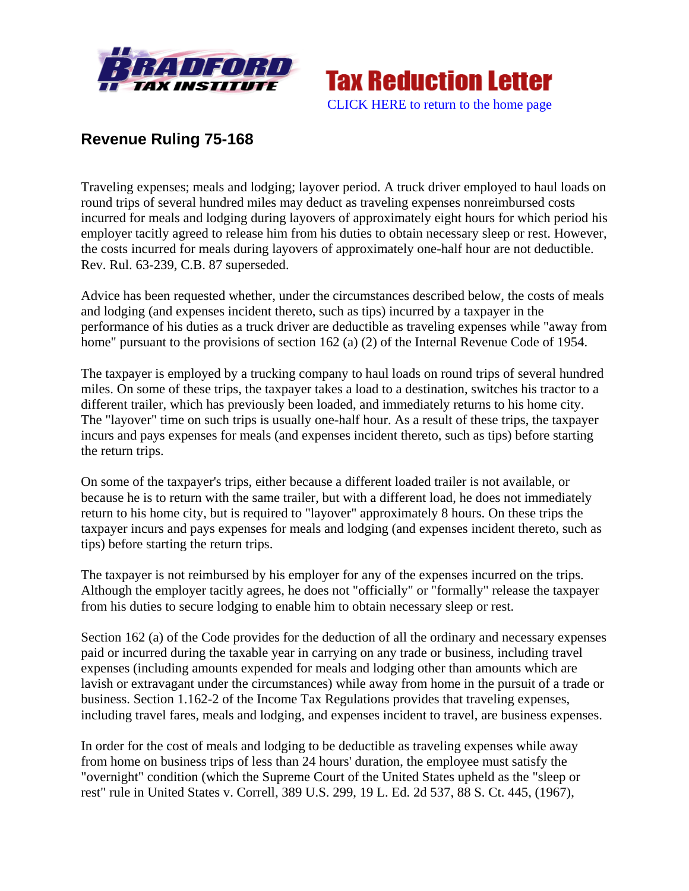



## **Revenue Ruling 75-168**

Traveling expenses; meals and lodging; layover period. A truck driver employed to haul loads on round trips of several hundred miles may deduct as traveling expenses nonreimbursed costs incurred for meals and lodging during layovers of approximately eight hours for which period his employer tacitly agreed to release him from his duties to obtain necessary sleep or rest. However, the costs incurred for meals during layovers of approximately one-half hour are not deductible. Rev. Rul. 63-239, C.B. 87 superseded.

Advice has been requested whether, under the circumstances described below, the costs of meals and lodging (and expenses incident thereto, such as tips) incurred by a taxpayer in the performance of his duties as a truck driver are deductible as traveling expenses while "away from home" pursuant to the provisions of section 162 (a) (2) of the Internal Revenue Code of 1954.

The taxpayer is employed by a trucking company to haul loads on round trips of several hundred miles. On some of these trips, the taxpayer takes a load to a destination, switches his tractor to a different trailer, which has previously been loaded, and immediately returns to his home city. The "layover" time on such trips is usually one-half hour. As a result of these trips, the taxpayer incurs and pays expenses for meals (and expenses incident thereto, such as tips) before starting the return trips.

On some of the taxpayer's trips, either because a different loaded trailer is not available, or because he is to return with the same trailer, but with a different load, he does not immediately return to his home city, but is required to "layover" approximately 8 hours. On these trips the taxpayer incurs and pays expenses for meals and lodging (and expenses incident thereto, such as tips) before starting the return trips.

The taxpayer is not reimbursed by his employer for any of the expenses incurred on the trips. Although the employer tacitly agrees, he does not "officially" or "formally" release the taxpayer from his duties to secure lodging to enable him to obtain necessary sleep or rest.

Section 162 (a) of the Code provides for the deduction of all the ordinary and necessary expenses paid or incurred during the taxable year in carrying on any trade or business, including travel expenses (including amounts expended for meals and lodging other than amounts which are lavish or extravagant under the circumstances) while away from home in the pursuit of a trade or business. Section 1.162-2 of the Income Tax Regulations provides that traveling expenses, including travel fares, meals and lodging, and expenses incident to travel, are business expenses.

In order for the cost of meals and lodging to be deductible as traveling expenses while away from home on business trips of less than 24 hours' duration, the employee must satisfy the "overnight" condition (which the Supreme Court of the United States upheld as the "sleep or rest" rule in United States v. Correll, 389 U.S. 299, 19 L. Ed. 2d 537, 88 S. Ct. 445, (1967),